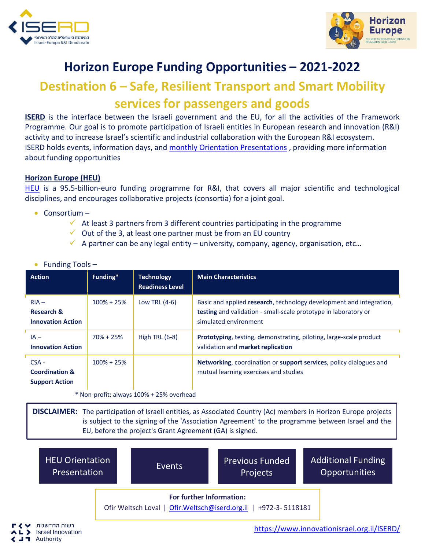



## **Horizon Europe Funding Opportunities – 2021-2022**

## **Destination 6 – Safe, Resilient Transport and Smart Mobility services for passengers and goods**

**ISERD** is the interface between the Israeli government and the EU, for all the activities of the Framework Programme. Our goal is to promote participation of Israeli entities in European research and innovation (R&I) activity and to increase Israel's scientific and industrial collaboration with the European R&I ecosystem. ISERD holds events, information days, and [monthly Orientation Presentations](https://www.innovationisrael.org.il/ISERD/page/news-events) , providing more information about funding opportunities

## **Horizon Europe (HEU)**

[HEU](https://ec.europa.eu/info/horizon-europe_en) is a 95.5-billion-euro funding programme for R&I, that covers all major scientific and technological disciplines, and encourages collaborative projects (consortia) for a joint goal.

- Consortium
	- $\checkmark$  At least 3 partners from 3 different countries participating in the programme
	- $\checkmark$  Out of the 3, at least one partner must be from an EU country
	- $\checkmark$  A partner can be any legal entity university, company, agency, organisation, etc...

| <b>Action</b>                                                 | Funding*       | <b>Technology</b><br><b>Readiness Level</b> | <b>Main Characteristics</b>                                                                                                                                     |  |  |  |  |
|---------------------------------------------------------------|----------------|---------------------------------------------|-----------------------------------------------------------------------------------------------------------------------------------------------------------------|--|--|--|--|
| $RIA -$<br><b>Research &amp;</b><br><b>Innovation Action</b>  | $100\% + 25\%$ | Low TRL $(4-6)$                             | Basic and applied research, technology development and integration,<br>testing and validation - small-scale prototype in laboratory or<br>simulated environment |  |  |  |  |
| $IA -$<br><b>Innovation Action</b>                            | $70\% + 25\%$  | High TRL $(6-8)$                            | <b>Prototyping</b> , testing, demonstrating, piloting, large-scale product<br>validation and market replication                                                 |  |  |  |  |
| $CSA -$<br><b>Coordination &amp;</b><br><b>Support Action</b> | $100\% + 25\%$ |                                             | Networking, coordination or support services, policy dialogues and<br>mutual learning exercises and studies                                                     |  |  |  |  |
| * Non-profit: always 100% + 25% overhead                      |                |                                             |                                                                                                                                                                 |  |  |  |  |

• Funding Tools -

**DISCLAIMER:** The participation of Israeli entities, as Associated Country (Ac) members in Horizon Europe projects is subject to the signing of the 'Association Agreement' to the programme between Israel and the

EU, before the project's Grant Agreement (GA) is signed.



[https://www.innovationisrael.org.il/ISERD/](https://www.innovationisrael.org.il/ISERD)